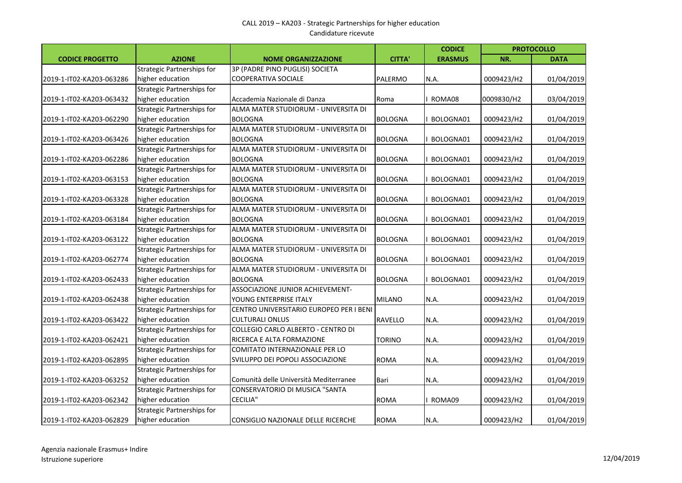|                          |                                   |                                         |                | <b>CODICE</b>  |            | <b>PROTOCOLLO</b> |
|--------------------------|-----------------------------------|-----------------------------------------|----------------|----------------|------------|-------------------|
| <b>CODICE PROGETTO</b>   | <b>AZIONE</b>                     | <b>NOME ORGANIZZAZIONE</b>              | <b>CITTA'</b>  | <b>ERASMUS</b> | NR.        | <b>DATA</b>       |
|                          | <b>Strategic Partnerships for</b> | 3P (PADRE PINO PUGLISI) SOCIETA         |                |                |            |                   |
| 2019-1-IT02-KA203-063286 | higher education                  | COOPERATIVA SOCIALE                     | PALERMO        | N.A.           | 0009423/H2 | 01/04/2019        |
|                          | <b>Strategic Partnerships for</b> |                                         |                |                |            |                   |
| 2019-1-IT02-KA203-063432 | higher education                  | Accademia Nazionale di Danza            | Roma           | ROMA08         | 0009830/H2 | 03/04/2019        |
|                          | <b>Strategic Partnerships for</b> | ALMA MATER STUDIORUM - UNIVERSITA DI    |                |                |            |                   |
| 2019-1-IT02-KA203-062290 | higher education                  | <b>BOLOGNA</b>                          | <b>BOLOGNA</b> | BOLOGNA01      | 0009423/H2 | 01/04/2019        |
|                          | <b>Strategic Partnerships for</b> | ALMA MATER STUDIORUM - UNIVERSITA DI    |                |                |            |                   |
| 2019-1-IT02-KA203-063426 | higher education                  | <b>BOLOGNA</b>                          | <b>BOLOGNA</b> | BOLOGNA01      | 0009423/H2 | 01/04/2019        |
|                          | <b>Strategic Partnerships for</b> | ALMA MATER STUDIORUM - UNIVERSITA DI    |                |                |            |                   |
| 2019-1-IT02-KA203-062286 | higher education                  | <b>BOLOGNA</b>                          | <b>BOLOGNA</b> | BOLOGNA01      | 0009423/H2 | 01/04/2019        |
|                          | <b>Strategic Partnerships for</b> | ALMA MATER STUDIORUM - UNIVERSITA DI    |                |                |            |                   |
| 2019-1-IT02-KA203-063153 | higher education                  | <b>BOLOGNA</b>                          | <b>BOLOGNA</b> | BOLOGNA01      | 0009423/H2 | 01/04/2019        |
|                          | <b>Strategic Partnerships for</b> | ALMA MATER STUDIORUM - UNIVERSITA DI    |                |                |            |                   |
| 2019-1-IT02-KA203-063328 | higher education                  | <b>BOLOGNA</b>                          | <b>BOLOGNA</b> | BOLOGNA01      | 0009423/H2 | 01/04/2019        |
|                          | <b>Strategic Partnerships for</b> | ALMA MATER STUDIORUM - UNIVERSITA DI    |                |                |            |                   |
| 2019-1-IT02-KA203-063184 | higher education                  | <b>BOLOGNA</b>                          | <b>BOLOGNA</b> | BOLOGNA01      | 0009423/H2 | 01/04/2019        |
|                          | <b>Strategic Partnerships for</b> | ALMA MATER STUDIORUM - UNIVERSITA DI    |                |                |            |                   |
| 2019-1-IT02-KA203-063122 | higher education                  | <b>BOLOGNA</b>                          | <b>BOLOGNA</b> | BOLOGNA01      | 0009423/H2 | 01/04/2019        |
|                          | <b>Strategic Partnerships for</b> | ALMA MATER STUDIORUM - UNIVERSITA DI    |                |                |            |                   |
| 2019-1-IT02-KA203-062774 | higher education                  | <b>BOLOGNA</b>                          | <b>BOLOGNA</b> | BOLOGNA01      | 0009423/H2 | 01/04/2019        |
|                          | <b>Strategic Partnerships for</b> | ALMA MATER STUDIORUM - UNIVERSITA DI    |                |                |            |                   |
| 2019-1-IT02-KA203-062433 | higher education                  | <b>BOLOGNA</b>                          | <b>BOLOGNA</b> | BOLOGNA01      | 0009423/H2 | 01/04/2019        |
|                          | <b>Strategic Partnerships for</b> | ASSOCIAZIONE JUNIOR ACHIEVEMENT-        |                |                |            |                   |
| 2019-1-IT02-KA203-062438 | higher education                  | YOUNG ENTERPRISE ITALY                  | <b>MILANO</b>  | N.A.           | 0009423/H2 | 01/04/2019        |
|                          | <b>Strategic Partnerships for</b> | CENTRO UNIVERSITARIO EUROPEO PER I BENI |                |                |            |                   |
| 2019-1-IT02-KA203-063422 | higher education                  | <b>CULTURALI ONLUS</b>                  | RAVELLO        | N.A.           | 0009423/H2 | 01/04/2019        |
|                          | <b>Strategic Partnerships for</b> | COLLEGIO CARLO ALBERTO - CENTRO DI      |                |                |            |                   |
| 2019-1-IT02-KA203-062421 | higher education                  | RICERCA E ALTA FORMAZIONE               | <b>TORINO</b>  | N.A.           | 0009423/H2 | 01/04/2019        |
|                          | <b>Strategic Partnerships for</b> | COMITATO INTERNAZIONALE PER LO          |                |                |            |                   |
| 2019-1-IT02-KA203-062895 | higher education                  | SVILUPPO DEI POPOLI ASSOCIAZIONE        | <b>ROMA</b>    | N.A.           | 0009423/H2 | 01/04/2019        |
|                          | <b>Strategic Partnerships for</b> |                                         |                |                |            |                   |
| 2019-1-IT02-KA203-063252 | higher education                  | Comunità delle Università Mediterranee  | Bari           | N.A.           | 0009423/H2 | 01/04/2019        |
|                          | <b>Strategic Partnerships for</b> | CONSERVATORIO DI MUSICA "SANTA          |                |                |            |                   |
| 2019-1-IT02-KA203-062342 | higher education                  | <b>CECILIA"</b>                         | <b>ROMA</b>    | ROMA09         | 0009423/H2 | 01/04/2019        |
|                          | <b>Strategic Partnerships for</b> |                                         |                |                |            |                   |
| 2019-1-IT02-KA203-062829 | higher education                  | CONSIGLIO NAZIONALE DELLE RICERCHE      | <b>ROMA</b>    | N.A.           | 0009423/H2 | 01/04/2019        |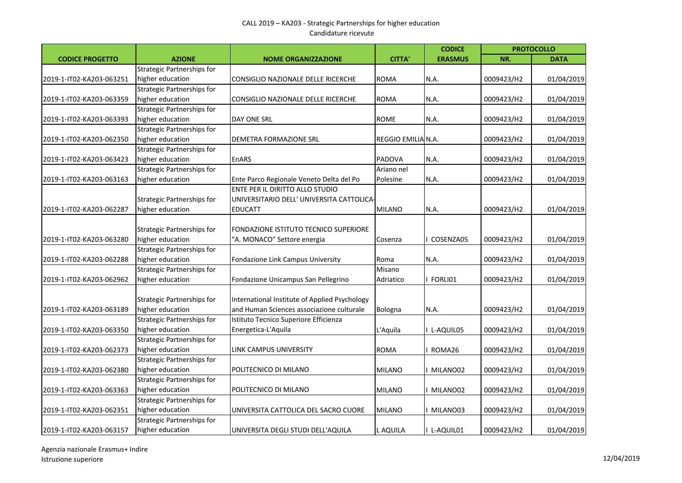## CALL 2019 – KA203 - Strategic Partnerships for higher education Candidature ricevute

|                          |                                   |                                               |                    | <b>CODICE</b>  |            | <b>PROTOCOLLO</b> |
|--------------------------|-----------------------------------|-----------------------------------------------|--------------------|----------------|------------|-------------------|
| <b>CODICE PROGETTO</b>   | <b>AZIONE</b>                     | <b>NOME ORGANIZZAZIONE</b>                    | <b>CITTA</b>       | <b>ERASMUS</b> | NR.        | <b>DATA</b>       |
|                          | <b>Strategic Partnerships for</b> |                                               |                    |                |            |                   |
| 2019-1-IT02-KA203-063251 | higher education                  | CONSIGLIO NAZIONALE DELLE RICERCHE            | <b>ROMA</b>        | N.A.           | 0009423/H2 | 01/04/2019        |
|                          | <b>Strategic Partnerships for</b> |                                               |                    |                |            |                   |
| 2019-1-IT02-KA203-063359 | higher education                  | CONSIGLIO NAZIONALE DELLE RICERCHE            | <b>ROMA</b>        | N.A.           | 0009423/H2 | 01/04/2019        |
|                          | Strategic Partnerships for        |                                               |                    |                |            |                   |
| 2019-1-IT02-KA203-063393 | higher education                  | DAY ONE SRL                                   | <b>ROME</b>        | N.A.           | 0009423/H2 | 01/04/2019        |
|                          | Strategic Partnerships for        |                                               |                    |                |            |                   |
| 2019-1-IT02-KA203-062350 | higher education                  | DEMETRA FORMAZIONE SRL                        | REGGIO EMILIA N.A. |                | 0009423/H2 | 01/04/2019        |
|                          | Strategic Partnerships for        |                                               |                    |                |            |                   |
| 2019-1-IT02-KA203-063423 | higher education                  | <b>EnARS</b>                                  | PADOVA             | N.A.           | 0009423/H2 | 01/04/2019        |
|                          | Strategic Partnerships for        |                                               | Ariano nel         |                |            |                   |
| 2019-1-IT02-KA203-063163 | higher education                  | Ente Parco Regionale Veneto Delta del Po      | Polesine           | N.A.           | 0009423/H2 | 01/04/2019        |
|                          |                                   | ENTE PER IL DIRITTO ALLO STUDIO               |                    |                |            |                   |
|                          | Strategic Partnerships for        | UNIVERSITARIO DELL' UNIVERSITA CATTOLICA      |                    |                |            |                   |
| 2019-1-IT02-KA203-062287 | higher education                  | <b>EDUCATT</b>                                | <b>MILANO</b>      | N.A.           | 0009423/H2 | 01/04/2019        |
|                          |                                   |                                               |                    |                |            |                   |
|                          | Strategic Partnerships for        | FONDAZIONE ISTITUTO TECNICO SUPERIORE         |                    |                |            |                   |
| 2019-1-IT02-KA203-063280 | higher education                  | "A. MONACO" Settore energia                   | Cosenza            | COSENZA05      | 0009423/H2 | 01/04/2019        |
|                          | Strategic Partnerships for        |                                               |                    |                |            |                   |
| 2019-1-IT02-KA203-062288 | higher education                  | Fondazione Link Campus University             | Roma               | N.A.           | 0009423/H2 | 01/04/2019        |
|                          | Strategic Partnerships for        |                                               | Misano             |                |            |                   |
| 2019-1-IT02-KA203-062962 | higher education                  | Fondazione Unicampus San Pellegrino           | Adriatico          | FORLI01        | 0009423/H2 | 01/04/2019        |
|                          |                                   |                                               |                    |                |            |                   |
|                          | Strategic Partnerships for        | International Institute of Applied Psychology |                    |                |            |                   |
| 2019-1-IT02-KA203-063189 | higher education                  | and Human Sciences associazione culturale     | Bologna            | N.A.           | 0009423/H2 | 01/04/2019        |
|                          | Strategic Partnerships for        | Istituto Tecnico Superiore Efficienza         |                    |                |            |                   |
| 2019-1-IT02-KA203-063350 | higher education                  | Energetica-L'Aquila                           | L'Aquila           | I L-AQUIL05    | 0009423/H2 | 01/04/2019        |
|                          | Strategic Partnerships for        |                                               |                    |                |            |                   |
| 2019-1-IT02-KA203-062373 | higher education                  | LINK CAMPUS UNIVERSITY                        | <b>ROMA</b>        | ROMA26         | 0009423/H2 | 01/04/2019        |
|                          | Strategic Partnerships for        |                                               |                    |                |            |                   |
| 2019-1-IT02-KA203-062380 | higher education                  | POLITECNICO DI MILANO                         | <b>MILANO</b>      | MILANO02       | 0009423/H2 | 01/04/2019        |
|                          | <b>Strategic Partnerships for</b> |                                               |                    |                |            |                   |
| 2019-1-IT02-KA203-063363 | higher education                  | POLITECNICO DI MILANO                         | <b>MILANO</b>      | MILANO02       | 0009423/H2 | 01/04/2019        |
|                          | <b>Strategic Partnerships for</b> |                                               |                    |                |            |                   |
| 2019-1-IT02-KA203-062351 | higher education                  | UNIVERSITA CATTOLICA DEL SACRO CUORE          | <b>MILANO</b>      | MILANO03       | 0009423/H2 | 01/04/2019        |
|                          | Strategic Partnerships for        |                                               |                    |                |            |                   |
| 2019-1-IT02-KA203-063157 | higher education                  | JUNIVERSITA DEGLI STUDI DELL'AQUILA           | L AQUILA           | I L-AQUIL01    | 0009423/H2 | 01/04/2019        |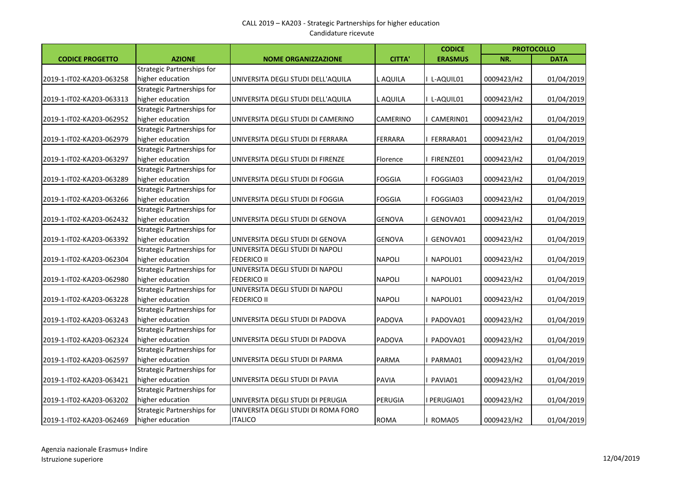## CALL 2019 – KA203 - Strategic Partnerships for higher education Candidature ricevute

|                          |                                   |                                     |                | <b>CODICE</b>  |            | <b>PROTOCOLLO</b> |
|--------------------------|-----------------------------------|-------------------------------------|----------------|----------------|------------|-------------------|
| <b>CODICE PROGETTO</b>   | <b>AZIONE</b>                     | <b>NOME ORGANIZZAZIONE</b>          | <b>CITTA</b>   | <b>ERASMUS</b> | NR.        | <b>DATA</b>       |
|                          | Strategic Partnerships for        |                                     |                |                |            |                   |
| 2019-1-IT02-KA203-063258 | higher education                  | UNIVERSITA DEGLI STUDI DELL'AQUILA  | L AQUILA       | L-AQUIL01      | 0009423/H2 | 01/04/2019        |
|                          | Strategic Partnerships for        |                                     |                |                |            |                   |
| 2019-1-IT02-KA203-063313 | higher education                  | UNIVERSITA DEGLI STUDI DELL'AQUILA  | L AQUILA       | L-AQUIL01      | 0009423/H2 | 01/04/2019        |
|                          | <b>Strategic Partnerships for</b> |                                     |                |                |            |                   |
| 2019-1-IT02-KA203-062952 | higher education                  | UNIVERSITA DEGLI STUDI DI CAMERINO  | CAMERINO       | CAMERIN01      | 0009423/H2 | 01/04/2019        |
|                          | <b>Strategic Partnerships for</b> |                                     |                |                |            |                   |
| 2019-1-IT02-KA203-062979 | higher education                  | UNIVERSITA DEGLI STUDI DI FERRARA   | <b>FERRARA</b> | FERRARA01      | 0009423/H2 | 01/04/2019        |
|                          | <b>Strategic Partnerships for</b> |                                     |                |                |            |                   |
| 2019-1-IT02-KA203-063297 | higher education                  | UNIVERSITA DEGLI STUDI DI FIRENZE   | Florence       | FIRENZE01      | 0009423/H2 | 01/04/2019        |
|                          | <b>Strategic Partnerships for</b> |                                     |                |                |            |                   |
| 2019-1-IT02-KA203-063289 | higher education                  | UNIVERSITA DEGLI STUDI DI FOGGIA    | <b>FOGGIA</b>  | FOGGIA03       | 0009423/H2 | 01/04/2019        |
|                          | Strategic Partnerships for        |                                     |                |                |            |                   |
| 2019-1-IT02-KA203-063266 | higher education                  | UNIVERSITA DEGLI STUDI DI FOGGIA    | <b>FOGGIA</b>  | FOGGIA03       | 0009423/H2 | 01/04/2019        |
|                          | <b>Strategic Partnerships for</b> |                                     |                |                |            |                   |
| 2019-1-IT02-KA203-062432 | higher education                  | UNIVERSITA DEGLI STUDI DI GENOVA    | <b>GENOVA</b>  | GENOVA01       | 0009423/H2 | 01/04/2019        |
|                          | <b>Strategic Partnerships for</b> |                                     |                |                |            |                   |
| 2019-1-IT02-KA203-063392 | higher education                  | UNIVERSITA DEGLI STUDI DI GENOVA    | <b>GENOVA</b>  | GENOVA01       | 0009423/H2 | 01/04/2019        |
|                          | <b>Strategic Partnerships for</b> | UNIVERSITA DEGLI STUDI DI NAPOLI    |                |                |            |                   |
| 2019-1-IT02-KA203-062304 | higher education                  | FEDERICO II                         | <b>NAPOLI</b>  | NAPOLI01       | 0009423/H2 | 01/04/2019        |
|                          | <b>Strategic Partnerships for</b> | UNIVERSITA DEGLI STUDI DI NAPOLI    |                |                |            |                   |
| 2019-1-IT02-KA203-062980 | higher education                  | FEDERICO II                         | <b>NAPOLI</b>  | NAPOLI01       | 0009423/H2 | 01/04/2019        |
|                          | Strategic Partnerships for        | UNIVERSITA DEGLI STUDI DI NAPOLI    |                |                |            |                   |
| 2019-1-IT02-KA203-063228 | higher education                  | <b>FEDERICO II</b>                  | <b>NAPOLI</b>  | NAPOLI01       | 0009423/H2 | 01/04/2019        |
|                          | <b>Strategic Partnerships for</b> |                                     |                |                |            |                   |
| 2019-1-IT02-KA203-063243 | higher education                  | UNIVERSITA DEGLI STUDI DI PADOVA    | PADOVA         | PADOVA01       | 0009423/H2 | 01/04/2019        |
|                          | <b>Strategic Partnerships for</b> |                                     |                |                |            |                   |
| 2019-1-IT02-KA203-062324 | higher education                  | UNIVERSITA DEGLI STUDI DI PADOVA    | PADOVA         | PADOVA01       | 0009423/H2 | 01/04/2019        |
|                          | Strategic Partnerships for        |                                     |                |                |            |                   |
| 2019-1-IT02-KA203-062597 | higher education                  | UNIVERSITA DEGLI STUDI DI PARMA     | <b>PARMA</b>   | PARMA01        | 0009423/H2 | 01/04/2019        |
|                          | Strategic Partnerships for        |                                     |                |                |            |                   |
| 2019-1-IT02-KA203-063421 | higher education                  | UNIVERSITA DEGLI STUDI DI PAVIA     | <b>PAVIA</b>   | PAVIA01        | 0009423/H2 | 01/04/2019        |
|                          | Strategic Partnerships for        |                                     |                |                |            |                   |
| 2019-1-IT02-KA203-063202 | higher education                  | UNIVERSITA DEGLI STUDI DI PERUGIA   | PERUGIA        | I PERUGIA01    | 0009423/H2 | 01/04/2019        |
|                          | <b>Strategic Partnerships for</b> | UNIVERSITA DEGLI STUDI DI ROMA FORO |                |                |            |                   |
| 2019-1-IT02-KA203-062469 | higher education                  | <b>ITALICO</b>                      | <b>ROMA</b>    | ROMA05         | 0009423/H2 | 01/04/2019        |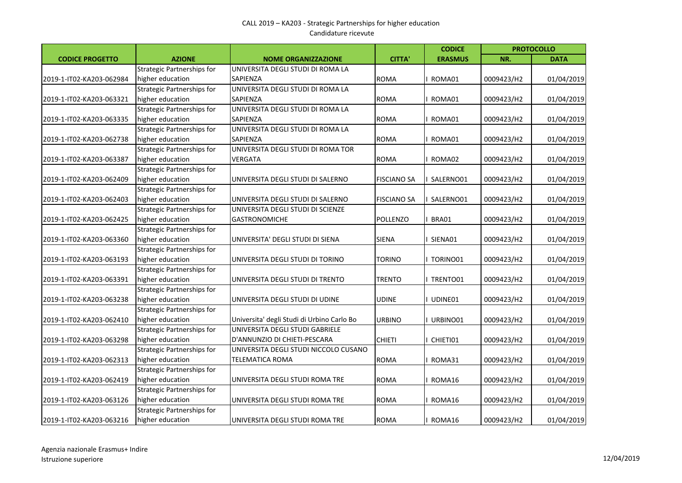|                          |                                   |                                            |                    | <b>CODICE</b>  |            | <b>PROTOCOLLO</b> |
|--------------------------|-----------------------------------|--------------------------------------------|--------------------|----------------|------------|-------------------|
| <b>CODICE PROGETTO</b>   | <b>AZIONE</b>                     | <b>NOME ORGANIZZAZIONE</b>                 | <b>CITTA'</b>      | <b>ERASMUS</b> | NR.        | <b>DATA</b>       |
|                          | <b>Strategic Partnerships for</b> | UNIVERSITA DEGLI STUDI DI ROMA LA          |                    |                |            |                   |
| 2019-1-IT02-KA203-062984 | higher education                  | SAPIENZA                                   | <b>ROMA</b>        | ROMA01         | 0009423/H2 | 01/04/2019        |
|                          | <b>Strategic Partnerships for</b> | UNIVERSITA DEGLI STUDI DI ROMA LA          |                    |                |            |                   |
| 2019-1-IT02-KA203-063321 | higher education                  | SAPIENZA                                   | <b>ROMA</b>        | ROMA01         | 0009423/H2 | 01/04/2019        |
|                          | <b>Strategic Partnerships for</b> | UNIVERSITA DEGLI STUDI DI ROMA LA          |                    |                |            |                   |
| 2019-1-IT02-KA203-063335 | higher education                  | SAPIENZA                                   | <b>ROMA</b>        | ROMA01         | 0009423/H2 | 01/04/2019        |
|                          | <b>Strategic Partnerships for</b> | UNIVERSITA DEGLI STUDI DI ROMA LA          |                    |                |            |                   |
| 2019-1-IT02-KA203-062738 | higher education                  | SAPIENZA                                   | <b>ROMA</b>        | ROMA01         | 0009423/H2 | 01/04/2019        |
|                          | <b>Strategic Partnerships for</b> | UNIVERSITA DEGLI STUDI DI ROMA TOR         |                    |                |            |                   |
| 2019-1-IT02-KA203-063387 | higher education                  | <b>VERGATA</b>                             | <b>ROMA</b>        | ROMA02         | 0009423/H2 | 01/04/2019        |
|                          | Strategic Partnerships for        |                                            |                    |                |            |                   |
| 2019-1-IT02-KA203-062409 | higher education                  | UNIVERSITA DEGLI STUDI DI SALERNO          | <b>FISCIANO SA</b> | SALERNO01      | 0009423/H2 | 01/04/2019        |
|                          | <b>Strategic Partnerships for</b> |                                            |                    |                |            |                   |
| 2019-1-IT02-KA203-062403 | higher education                  | UNIVERSITA DEGLI STUDI DI SALERNO          | <b>FISCIANO SA</b> | SALERNO01      | 0009423/H2 | 01/04/2019        |
|                          | <b>Strategic Partnerships for</b> | UNIVERSITA DEGLI STUDI DI SCIENZE          |                    |                |            |                   |
| 2019-1-IT02-KA203-062425 | higher education                  | <b>GASTRONOMICHE</b>                       | <b>POLLENZO</b>    | BRA01          | 0009423/H2 | 01/04/2019        |
|                          | <b>Strategic Partnerships for</b> |                                            |                    |                |            |                   |
| 2019-1-IT02-KA203-063360 | higher education                  | UNIVERSITA' DEGLI STUDI DI SIENA           | <b>SIENA</b>       | SIENA01        | 0009423/H2 | 01/04/2019        |
|                          | <b>Strategic Partnerships for</b> |                                            |                    |                |            |                   |
| 2019-1-IT02-KA203-063193 | higher education                  | UNIVERSITA DEGLI STUDI DI TORINO           | TORINO             | TORINO01       | 0009423/H2 | 01/04/2019        |
|                          | <b>Strategic Partnerships for</b> |                                            |                    |                |            |                   |
| 2019-1-IT02-KA203-063391 | higher education                  | UNIVERSITA DEGLI STUDI DI TRENTO           | <b>TRENTO</b>      | TRENTO01       | 0009423/H2 | 01/04/2019        |
|                          | Strategic Partnerships for        |                                            |                    |                |            |                   |
| 2019-1-IT02-KA203-063238 | higher education                  | UNIVERSITA DEGLI STUDI DI UDINE            | <b>UDINE</b>       | UDINE01        | 0009423/H2 | 01/04/2019        |
|                          | <b>Strategic Partnerships for</b> |                                            |                    |                |            |                   |
| 2019-1-IT02-KA203-062410 | higher education                  | Universita' degli Studi di Urbino Carlo Bo | URBINO             | URBINO01       | 0009423/H2 | 01/04/2019        |
|                          | <b>Strategic Partnerships for</b> | UNIVERSITA DEGLI STUDI GABRIELE            |                    |                |            |                   |
| 2019-1-IT02-KA203-063298 | higher education                  | D'ANNUNZIO DI CHIETI-PESCARA               | <b>CHIETI</b>      | CHIETI01       | 0009423/H2 | 01/04/2019        |
|                          | <b>Strategic Partnerships for</b> | UNIVERSITA DEGLI STUDI NICCOLO CUSANO      |                    |                |            |                   |
| 2019-1-IT02-KA203-062313 | higher education                  | <b>TELEMATICA ROMA</b>                     | <b>ROMA</b>        | ROMA31         | 0009423/H2 | 01/04/2019        |
|                          | <b>Strategic Partnerships for</b> |                                            |                    |                |            |                   |
| 2019-1-IT02-KA203-062419 | higher education                  | UNIVERSITA DEGLI STUDI ROMA TRE            | <b>ROMA</b>        | ROMA16         | 0009423/H2 | 01/04/2019        |
|                          | <b>Strategic Partnerships for</b> |                                            |                    |                |            |                   |
| 2019-1-IT02-KA203-063126 | higher education                  | UNIVERSITA DEGLI STUDI ROMA TRE            | <b>ROMA</b>        | ROMA16         | 0009423/H2 | 01/04/2019        |
|                          | <b>Strategic Partnerships for</b> |                                            |                    |                |            |                   |
| 2019-1-IT02-KA203-063216 | higher education                  | UNIVERSITA DEGLI STUDI ROMA TRE            | <b>ROMA</b>        | ROMA16         | 0009423/H2 | 01/04/2019        |